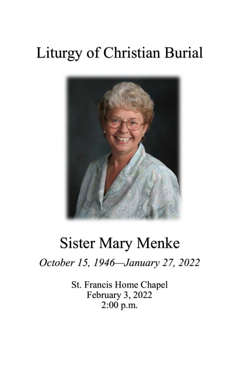## Liturgy of Christian Burial



## Sister Mary Menke

*October 15, 1946—January 27, 2022*

St. Francis Home Chapel February 3, 2022 2:00 p.m.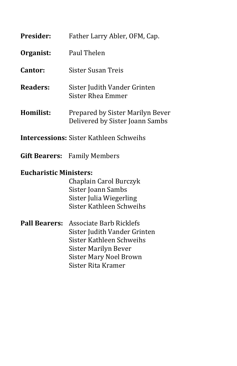| Presider:                     | Father Larry Abler, OFM, Cap.                                       |  |  |
|-------------------------------|---------------------------------------------------------------------|--|--|
| Organist:                     | Paul Thelen                                                         |  |  |
| Cantor:                       | <b>Sister Susan Treis</b>                                           |  |  |
| <b>Readers:</b>               | Sister Judith Vander Grinten<br>Sister Rhea Emmer                   |  |  |
| Homilist:                     | Prepared by Sister Marilyn Bever<br>Delivered by Sister Joann Sambs |  |  |
|                               | <b>Intercessions: Sister Kathleen Schweihs</b>                      |  |  |
|                               | <b>Gift Bearers:</b> Family Members                                 |  |  |
| <b>Eucharistic Ministers:</b> |                                                                     |  |  |
|                               | Chaplain Carol Burczyk                                              |  |  |
|                               | Sister Joann Sambs                                                  |  |  |
|                               | Sister Julia Wiegerling                                             |  |  |
|                               | Sister Kathleen Schweihs                                            |  |  |
| <b>Pall Bearers:</b>          | <b>Associate Barb Ricklefs</b>                                      |  |  |
|                               | Sister Judith Vander Grinten                                        |  |  |
|                               | Sister Kathleen Schweihs                                            |  |  |
|                               | <b>Sister Marilyn Bever</b>                                         |  |  |
|                               | <b>Sister Mary Noel Brown</b>                                       |  |  |
|                               | Sister Rita Kramer                                                  |  |  |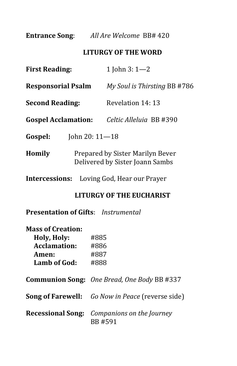**Entrance Song**: *All Are Welcome* BB# 420

## **LITURGY OF THE WORD**

| <b>First Reading:</b>      |                                                                     | 1 John 3: $1 - 2$                                 |  |
|----------------------------|---------------------------------------------------------------------|---------------------------------------------------|--|
| <b>Responsorial Psalm</b>  |                                                                     | My Soul is Thirsting BB #786                      |  |
| <b>Second Reading:</b>     |                                                                     | Revelation 14: 13                                 |  |
| <b>Gospel Acclamation:</b> |                                                                     | Celtic Alleluia BB #390                           |  |
| Gospel:                    | John 20: $11 - 18$                                                  |                                                   |  |
| Homily                     | Prepared by Sister Marilyn Bever<br>Delivered by Sister Joann Sambs |                                                   |  |
|                            |                                                                     | <b>Intercessions:</b> Loving God, Hear our Prayer |  |

**LITURGY OF THE EUCHARIST**

**Presentation of Gifts**: *Instrumental*

| #885 |
|------|
| #886 |
| #887 |
| #888 |
|      |

**Communion Song:** *One Bread, One Body* BB #337

**Song of Farewell:** *Go Now in Peace* (reverse side)

**Recessional Song:** *Companions on the Journey* BB #591